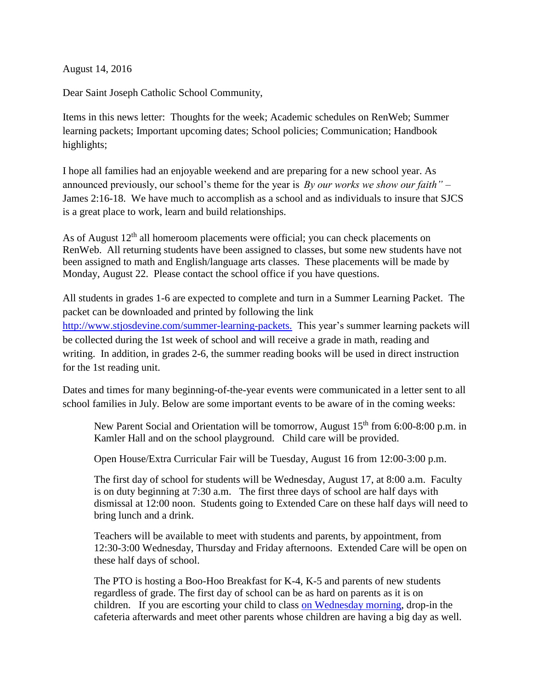August 14, 2016

Dear Saint Joseph Catholic School Community,

Items in this news letter: Thoughts for the week; Academic schedules on RenWeb; Summer learning packets; Important upcoming dates; School policies; Communication; Handbook highlights;

I hope all families had an enjoyable weekend and are preparing for a new school year. As announced previously, our school's theme for the year is *By our works we show our faith"* – James 2:16-18. We have much to accomplish as a school and as individuals to insure that SJCS is a great place to work, learn and build relationships.

As of August  $12<sup>th</sup>$  all homeroom placements were official; you can check placements on RenWeb. All returning students have been assigned to classes, but some new students have not been assigned to math and English/language arts classes. These placements will be made by Monday, August 22. Please contact the school office if you have questions.

All students in grades 1-6 are expected to complete and turn in a Summer Learning Packet. The packet can be downloaded and printed by following the link <http://www.stjosdevine.com/summer-learning-packets.>This year's summer learning packets will be collected during the 1st week of school and will receive a grade in math, reading and writing. In addition, in grades 2-6, the summer reading books will be used in direct instruction for the 1st reading unit.

Dates and times for many beginning-of-the-year events were communicated in a letter sent to all school families in July. Below are some important events to be aware of in the coming weeks:

New Parent Social and Orientation will be tomorrow, August 15<sup>th</sup> from 6:00-8:00 p.m. in Kamler Hall and on the school playground. Child care will be provided.

Open House/Extra Curricular Fair will be Tuesday, August 16 from 12:00-3:00 p.m.

The first day of school for students will be Wednesday, August 17, at 8:00 a.m. Faculty is on duty beginning at 7:30 a.m. The first three days of school are half days with dismissal at 12:00 noon. Students going to Extended Care on these half days will need to bring lunch and a drink.

Teachers will be available to meet with students and parents, by appointment, from 12:30-3:00 Wednesday, Thursday and Friday afternoons. Extended Care will be open on these half days of school.

The PTO is hosting a Boo-Hoo Breakfast for K-4, K-5 and parents of new students regardless of grade. The first day of school can be as hard on parents as it is on children. If you are escorting your child to class [on Wednesday morning,](http://x-apple-data-detectors/8) drop-in the cafeteria afterwards and meet other parents whose children are having a big day as well.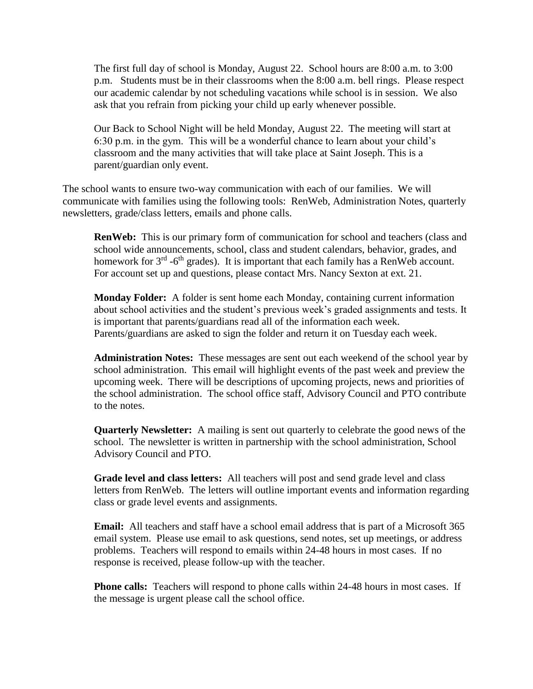The first full day of school is Monday, August 22. School hours are 8:00 a.m. to 3:00 p.m. Students must be in their classrooms when the 8:00 a.m. bell rings. Please respect our academic calendar by not scheduling vacations while school is in session. We also ask that you refrain from picking your child up early whenever possible.

Our Back to School Night will be held Monday, August 22. The meeting will start at 6:30 p.m. in the gym. This will be a wonderful chance to learn about your child's classroom and the many activities that will take place at Saint Joseph. This is a parent/guardian only event.

The school wants to ensure two-way communication with each of our families. We will communicate with families using the following tools: RenWeb, Administration Notes, quarterly newsletters, grade/class letters, emails and phone calls.

**RenWeb:** This is our primary form of communication for school and teachers (class and school wide announcements, school, class and student calendars, behavior, grades, and homework for  $3^{rd}$  -6<sup>th</sup> grades). It is important that each family has a RenWeb account. For account set up and questions, please contact Mrs. Nancy Sexton at ext. 21.

**Monday Folder:** A folder is sent home each Monday, containing current information about school activities and the student's previous week's graded assignments and tests. It is important that parents/guardians read all of the information each week. Parents/guardians are asked to sign the folder and return it on Tuesday each week.

**Administration Notes:** These messages are sent out each weekend of the school year by school administration. This email will highlight events of the past week and preview the upcoming week. There will be descriptions of upcoming projects, news and priorities of the school administration. The school office staff, Advisory Council and PTO contribute to the notes.

**Quarterly Newsletter:** A mailing is sent out quarterly to celebrate the good news of the school. The newsletter is written in partnership with the school administration, School Advisory Council and PTO.

**Grade level and class letters:** All teachers will post and send grade level and class letters from RenWeb. The letters will outline important events and information regarding class or grade level events and assignments.

**Email:** All teachers and staff have a school email address that is part of a Microsoft 365 email system. Please use email to ask questions, send notes, set up meetings, or address problems. Teachers will respond to emails within 24-48 hours in most cases. If no response is received, please follow-up with the teacher.

**Phone calls:** Teachers will respond to phone calls within 24-48 hours in most cases. If the message is urgent please call the school office.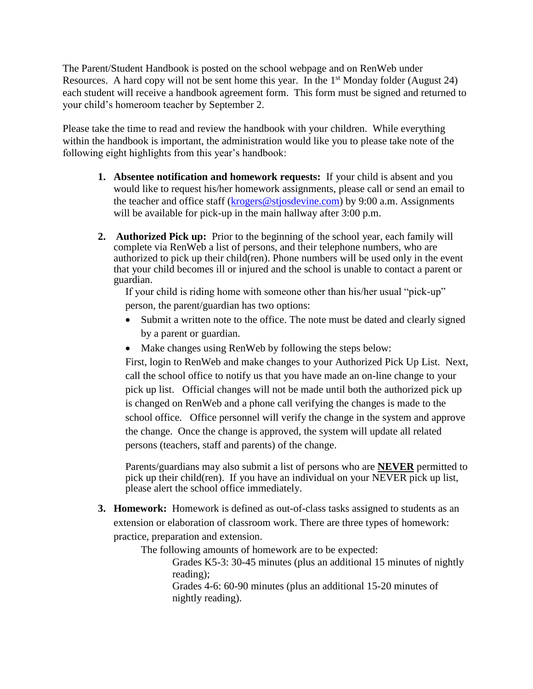The Parent/Student Handbook is posted on the school webpage and on RenWeb under Resources. A hard copy will not be sent home this year. In the  $1<sup>st</sup>$  Monday folder (August 24) each student will receive a handbook agreement form. This form must be signed and returned to your child's homeroom teacher by September 2.

Please take the time to read and review the handbook with your children. While everything within the handbook is important, the administration would like you to please take note of the following eight highlights from this year's handbook:

- **1. Absentee notification and homework requests:** If your child is absent and you would like to request his/her homework assignments, please call or send an email to the teacher and office staff [\(krogers@stjosdevine.com\)](mailto:krogers@stjosdevine.com) by 9:00 a.m. Assignments will be available for pick-up in the main hallway after 3:00 p.m.
- **2. Authorized Pick up:** Prior to the beginning of the school year, each family will complete via RenWeb a list of persons, and their telephone numbers, who are authorized to pick up their child(ren). Phone numbers will be used only in the event that your child becomes ill or injured and the school is unable to contact a parent or guardian.

If your child is riding home with someone other than his/her usual "pick-up" person, the parent/guardian has two options:

- Submit a written note to the office. The note must be dated and clearly signed by a parent or guardian.
- Make changes using RenWeb by following the steps below:

First, login to RenWeb and make changes to your Authorized Pick Up List. Next, call the school office to notify us that you have made an on-line change to your pick up list. Official changes will not be made until both the authorized pick up is changed on RenWeb and a phone call verifying the changes is made to the school office. Office personnel will verify the change in the system and approve the change. Once the change is approved, the system will update all related persons (teachers, staff and parents) of the change.

Parents/guardians may also submit a list of persons who are **NEVER** permitted to pick up their child(ren). If you have an individual on your NEVER pick up list, please alert the school office immediately.

**3. Homework:** Homework is defined as out-of-class tasks assigned to students as an extension or elaboration of classroom work. There are three types of homework: practice, preparation and extension.

The following amounts of homework are to be expected:

Grades K5-3: 30-45 minutes (plus an additional 15 minutes of nightly reading);

Grades 4-6: 60-90 minutes (plus an additional 15-20 minutes of nightly reading).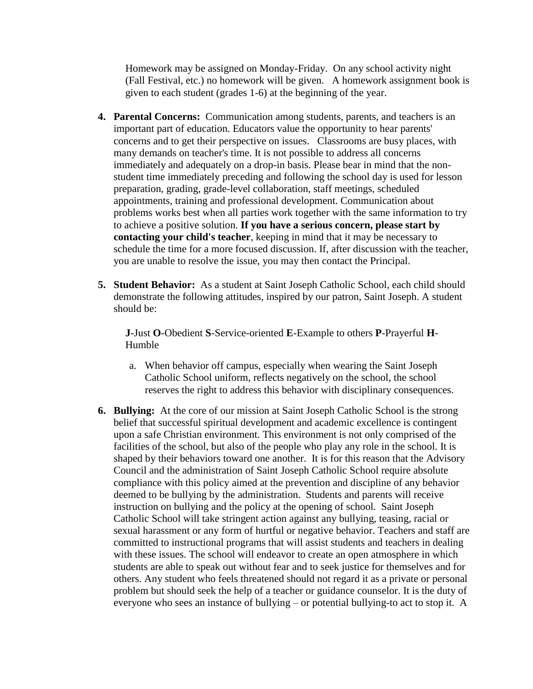Homework may be assigned on Monday-Friday. On any school activity night (Fall Festival, etc.) no homework will be given. A homework assignment book is given to each student (grades 1-6) at the beginning of the year.

- **4. Parental Concerns:** Communication among students, parents, and teachers is an important part of education. Educators value the opportunity to hear parents' concerns and to get their perspective on issues. Classrooms are busy places, with many demands on teacher's time. It is not possible to address all concerns immediately and adequately on a drop-in basis. Please bear in mind that the nonstudent time immediately preceding and following the school day is used for lesson preparation, grading, grade-level collaboration, staff meetings, scheduled appointments, training and professional development. Communication about problems works best when all parties work together with the same information to try to achieve a positive solution. **If you have a serious concern, please start by contacting your child's teacher**, keeping in mind that it may be necessary to schedule the time for a more focused discussion. If, after discussion with the teacher, you are unable to resolve the issue, you may then contact the Principal.
- **5. Student Behavior:** As a student at Saint Joseph Catholic School, each child should demonstrate the following attitudes, inspired by our patron, Saint Joseph. A student should be:

**J**-Just **O**-Obedient **S**-Service-oriented **E**-Example to others **P**-Prayerful **H**-Humble

- a. When behavior off campus, especially when wearing the Saint Joseph Catholic School uniform, reflects negatively on the school, the school reserves the right to address this behavior with disciplinary consequences.
- **6. Bullying:** At the core of our mission at Saint Joseph Catholic School is the strong belief that successful spiritual development and academic excellence is contingent upon a safe Christian environment. This environment is not only comprised of the facilities of the school, but also of the people who play any role in the school. It is shaped by their behaviors toward one another. It is for this reason that the Advisory Council and the administration of Saint Joseph Catholic School require absolute compliance with this policy aimed at the prevention and discipline of any behavior deemed to be bullying by the administration. Students and parents will receive instruction on bullying and the policy at the opening of school. Saint Joseph Catholic School will take stringent action against any bullying, teasing, racial or sexual harassment or any form of hurtful or negative behavior. Teachers and staff are committed to instructional programs that will assist students and teachers in dealing with these issues. The school will endeavor to create an open atmosphere in which students are able to speak out without fear and to seek justice for themselves and for others. Any student who feels threatened should not regard it as a private or personal problem but should seek the help of a teacher or guidance counselor. It is the duty of everyone who sees an instance of bullying – or potential bullying-to act to stop it. A